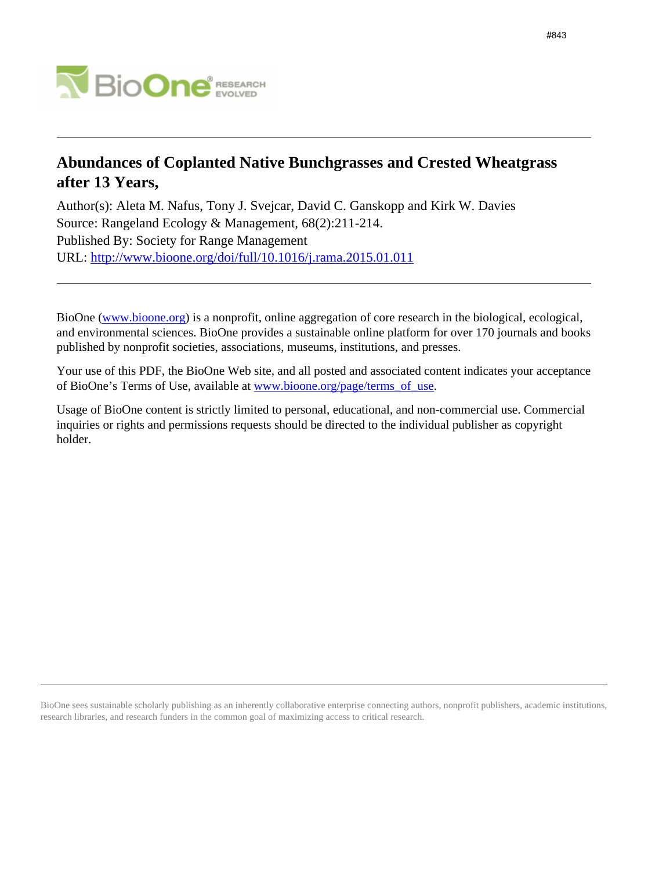

# **Abundances of Coplanted Native Bunchgrasses and Crested Wheatgrass after 13 Years,**

Author(s): Aleta M. Nafus, Tony J. Svejcar, David C. Ganskopp and Kirk W. Davies Source: Rangeland Ecology & Management, 68(2):211-214. Published By: Society for Range Management URL: <http://www.bioone.org/doi/full/10.1016/j.rama.2015.01.011>

BioOne [\(www.bioone.org\)](http://www.bioone.org) is a nonprofit, online aggregation of core research in the biological, ecological, and environmental sciences. BioOne provides a sustainable online platform for over 170 journals and books published by nonprofit societies, associations, museums, institutions, and presses.

Your use of this PDF, the BioOne Web site, and all posted and associated content indicates your acceptance of BioOne's Terms of Use, available at [www.bioone.org/page/terms\\_of\\_use.](http://www.bioone.org/page/terms_of_use)

Usage of BioOne content is strictly limited to personal, educational, and non-commercial use. Commercial inquiries or rights and permissions requests should be directed to the individual publisher as copyright holder.

BioOne sees sustainable scholarly publishing as an inherently collaborative enterprise connecting authors, nonprofit publishers, academic institutions, research libraries, and research funders in the common goal of maximizing access to critical research.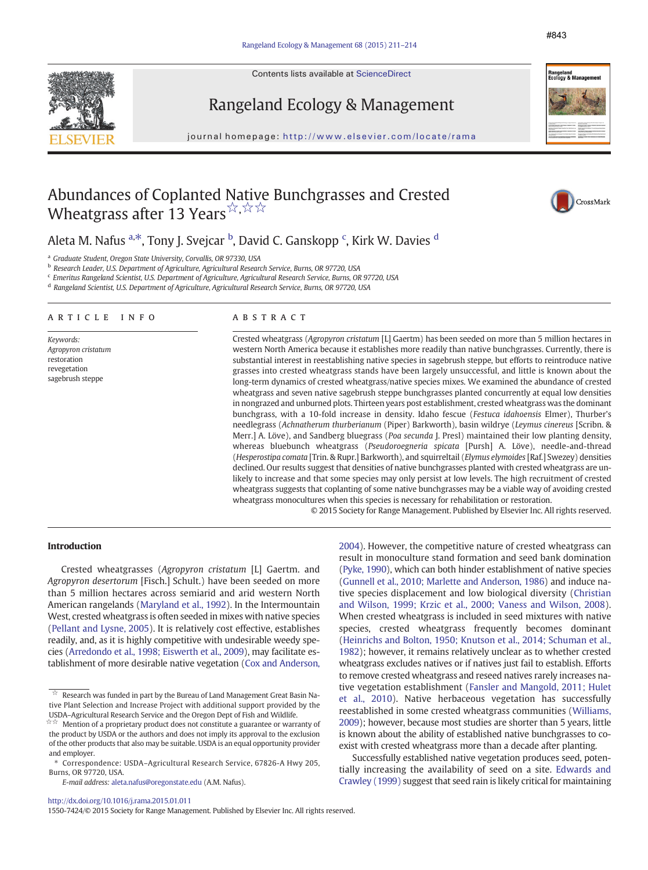Contents lists available at ScienceDirect





Rangeland Ecology & Management

journal homepage: http://www.elsevier.com/locate/rama

# Abundances of Coplanted Native Bunchgrasses and Crested Wheatgrass after 13 Years ${}^{\not\sim,\not\sim\,;\times}$



Aleta M. Nafus <sup>a,\*</sup>, Tony J. Svejcar <sup>b</sup>, David C. Ganskopp <sup>c</sup>, Kirk W. Davies <sup>d</sup>

<sup>a</sup> Graduate Student, Oregon State University, Corvallis, OR 97330, USA

<sup>b</sup> Research Leader, U.S. Department of Agriculture, Agricultural Research Service, Burns, OR 97720, USA

<sup>c</sup> Emeritus Rangeland Scientist, U.S. Department of Agriculture, Agricultural Research Service, Burns, OR 97720, USA

<sup>d</sup> Rangeland Scientist, U.S. Department of Agriculture, Agricultural Research Service, Burns, OR 97720, USA

## article info abstract

Keywords: Agropyron cristatum restoration revegetation sagebrush steppe

Crested wheatgrass (Agropyron cristatum [L] Gaertm) has been seeded on more than 5 million hectares in western North America because it establishes more readily than native bunchgrasses. Currently, there is substantial interest in reestablishing native species in sagebrush steppe, but efforts to reintroduce native grasses into crested wheatgrass stands have been largely unsuccessful, and little is known about the long-term dynamics of crested wheatgrass/native species mixes. We examined the abundance of crested wheatgrass and seven native sagebrush steppe bunchgrasses planted concurrently at equal low densities in nongrazed and unburned plots. Thirteen years post establishment, crested wheatgrass was the dominant bunchgrass, with a 10-fold increase in density. Idaho fescue (Festuca idahoensis Elmer), Thurber's needlegrass (Achnatherum thurberianum (Piper) Barkworth), basin wildrye (Leymus cinereus [Scribn. & Merr.] A. Löve), and Sandberg bluegrass (Poa secunda J. Presl) maintained their low planting density, whereas bluebunch wheatgrass (Pseudoroegneria spicata [Pursh] A. Löve), needle-and-thread (Hesperostipa comata [Trin. & Rupr.] Barkworth), and squirreltail (Elymus elymoides [Raf.] Swezey) densities declined. Our results suggest that densities of native bunchgrasses planted with crested wheatgrass are unlikely to increase and that some species may only persist at low levels. The high recruitment of crested wheatgrass suggests that coplanting of some native bunchgrasses may be a viable way of avoiding crested wheatgrass monocultures when this species is necessary for rehabilitation or restoration.

© 2015 Society for Range Management. Published by Elsevier Inc. All rights reserved.

#### Introduction

Crested wheatgrasses (Agropyron cristatum [L] Gaertm. and Agropyron desertorum [Fisch.] Schult.) have been seeded on more than 5 million hectares across semiarid and arid western North American rangelands ([Maryland et al., 1992](#page-4-0)). In the Intermountain West, crested wheatgrass is often seeded in mixes with native species [\(Pellant and Lysne, 2005\)](#page-4-0). It is relatively cost effective, establishes readily, and, as it is highly competitive with undesirable weedy species [\(Arredondo et al., 1998; Eiswerth et al., 2009\)](#page-4-0), may facilitate establishment of more desirable native vegetation ([Cox and Anderson,](#page-4-0) [2004\)](#page-4-0). However, the competitive nature of crested wheatgrass can result in monoculture stand formation and seed bank domination [\(Pyke, 1990\)](#page-4-0), which can both hinder establishment of native species [\(Gunnell et al., 2010; Marlette and Anderson, 1986](#page-4-0)) and induce native species displacement and low biological diversity [\(Christian](#page-4-0) [and Wilson, 1999; Krzic et al., 2000; Vaness and Wilson, 2008](#page-4-0)). When crested wheatgrass is included in seed mixtures with native species, crested wheatgrass frequently becomes dominant [\(Heinrichs and Bolton, 1950; Knutson et al., 2014; Schuman et al.,](#page-4-0) [1982](#page-4-0)); however, it remains relatively unclear as to whether crested wheatgrass excludes natives or if natives just fail to establish. Efforts to remove crested wheatgrass and reseed natives rarely increases native vegetation establishment [\(Fansler and Mangold, 2011; Hulet](#page-4-0) [et al., 2010\)](#page-4-0). Native herbaceous vegetation has successfully reestablished in some crested wheatgrass communities [\(Williams,](#page-4-0) [2009](#page-4-0)); however, because most studies are shorter than 5 years, little is known about the ability of established native bunchgrasses to coexist with crested wheatgrass more than a decade after planting.

Successfully established native vegetation produces seed, potentially increasing the availability of seed on a site. [Edwards and](#page-4-0) [Crawley \(1999\)](#page-4-0) suggest that seed rain is likely critical for maintaining

1550-7424/© 2015 Society for Range Management. Published by Elsevier Inc. All rights reserved.

 $\overrightarrow{a}$  Research was funded in part by the Bureau of Land Management Great Basin Native Plant Selection and Increase Project with additional support provided by the USDA–Agricultural Research Service and the Oregon Dept of Fish and Wildlife.<br> $\forall x$  Mention of a proprietary product does not constitute a guarantee or ware

Mention of a proprietary product does not constitute a guarantee or warranty of the product by USDA or the authors and does not imply its approval to the exclusion of the other products that also may be suitable. USDA is an equal opportunity provider and employer.

<sup>⁎</sup> Correspondence: USDA–Agricultural Research Service, 67826-A Hwy 205, Burns, OR 97720, USA.

E-mail address: [aleta.nafus@oregonstate.edu](mailto:aleta.nafus@oregonstate.edu) (A.M. Nafus).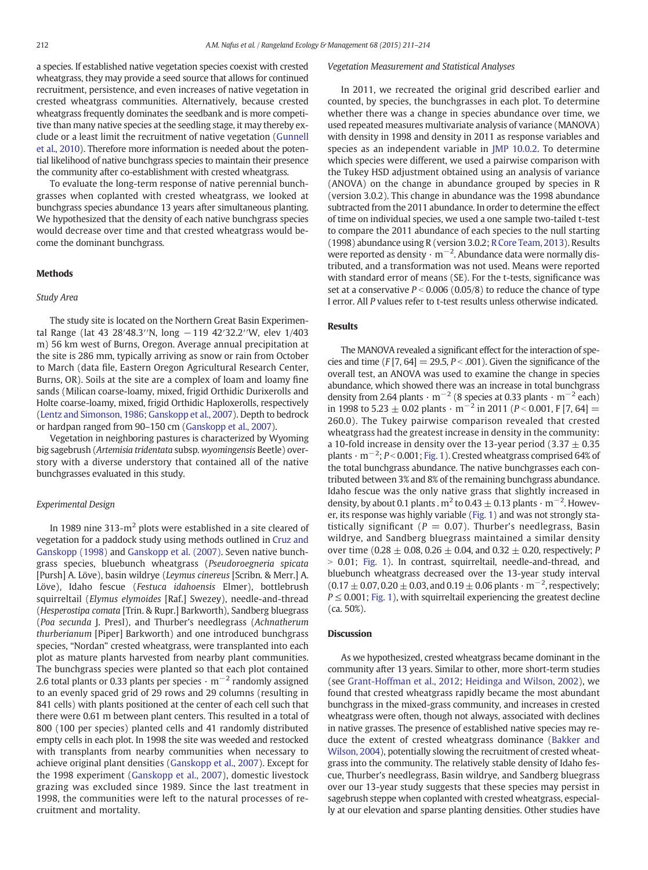a species. If established native vegetation species coexist with crested wheatgrass, they may provide a seed source that allows for continued recruitment, persistence, and even increases of native vegetation in crested wheatgrass communities. Alternatively, because crested wheatgrass frequently dominates the seedbank and is more competitive than many native species at the seedling stage, it may thereby exclude or a least limit the recruitment of native vegetation [\(Gunnell](#page-4-0) [et al., 2010\)](#page-4-0). Therefore more information is needed about the potential likelihood of native bunchgrass species to maintain their presence the community after co-establishment with crested wheatgrass.

To evaluate the long-term response of native perennial bunchgrasses when coplanted with crested wheatgrass, we looked at bunchgrass species abundance 13 years after simultaneous planting. We hypothesized that the density of each native bunchgrass species would decrease over time and that crested wheatgrass would become the dominant bunchgrass.

## Methods

#### Study Area

The study site is located on the Northern Great Basin Experimental Range (lat 43 28′48.3′′N, long −119 42′32.2′′W, elev 1/403 m) 56 km west of Burns, Oregon. Average annual precipitation at the site is 286 mm, typically arriving as snow or rain from October to March (data file, Eastern Oregon Agricultural Research Center, Burns, OR). Soils at the site are a complex of loam and loamy fine sands (Milican coarse-loamy, mixed, frigid Orthidic Durixerolls and Holte coarse-loamy, mixed, frigid Orthidic Haploxerolls, respectively ([Lentz and Simonson, 1986; Ganskopp et al., 2007\)](#page-4-0). Depth to bedrock or hardpan ranged from 90–150 cm [\(Ganskopp et al., 2007](#page-4-0)).

Vegetation in neighboring pastures is characterized by Wyoming big sagebrush (Artemisia tridentata subsp. wyomingensis Beetle) overstory with a diverse understory that contained all of the native bunchgrasses evaluated in this study.

## Experimental Design

In 1989 nine 313-m<sup>2</sup> plots were established in a site cleared of vegetation for a paddock study using methods outlined in [Cruz and](#page-4-0) [Ganskopp \(1998\)](#page-4-0) and [Ganskopp et al. \(2007\).](#page-4-0) Seven native bunchgrass species, bluebunch wheatgrass (Pseudoroegneria spicata [Pursh] A. Löve), basin wildrye (Leymus cinereus [Scribn. & Merr.] A. Löve), Idaho fescue (Festuca idahoensis Elmer), bottlebrush squirreltail (Elymus elymoides [Raf.] Swezey), needle-and-thread (Hesperostipa comata [Trin. & Rupr.] Barkworth), Sandberg bluegrass (Poa secunda J. Presl), and Thurber's needlegrass (Achnatherum thurberianum [Piper] Barkworth) and one introduced bunchgrass species, "Nordan" crested wheatgrass, were transplanted into each plot as mature plants harvested from nearby plant communities. The bunchgrass species were planted so that each plot contained 2.6 total plants or 0.33 plants per species  $\cdot$  m<sup>-2</sup> randomly assigned to an evenly spaced grid of 29 rows and 29 columns (resulting in 841 cells) with plants positioned at the center of each cell such that there were 0.61 m between plant centers. This resulted in a total of 800 (100 per species) planted cells and 41 randomly distributed empty cells in each plot. In 1998 the site was weeded and restocked with transplants from nearby communities when necessary to achieve original plant densities ([Ganskopp et al., 2007](#page-4-0)). Except for the 1998 experiment [\(Ganskopp et al., 2007\)](#page-4-0), domestic livestock grazing was excluded since 1989. Since the last treatment in 1998, the communities were left to the natural processes of recruitment and mortality.

## Vegetation Measurement and Statistical Analyses

In 2011, we recreated the original grid described earlier and counted, by species, the bunchgrasses in each plot. To determine whether there was a change in species abundance over time, we used repeated measures multivariate analysis of variance (MANOVA) with density in 1998 and density in 2011 as response variables and species as an independent variable in [JMP 10.0.2.](#page-4-0) To determine which species were different, we used a pairwise comparison with the Tukey HSD adjustment obtained using an analysis of variance (ANOVA) on the change in abundance grouped by species in R (version 3.0.2). This change in abundance was the 1998 abundance subtracted from the 2011 abundance. In order to determine the effect of time on individual species, we used a one sample two-tailed t-test to compare the 2011 abundance of each species to the null starting (1998) abundance using R (version 3.0.2; [R Core Team, 2013\)](#page-4-0). Results were reported as density  $\cdot$  m $^{-2}$ . Abundance data were normally distributed, and a transformation was not used. Means were reported with standard error of means (SE). For the t-tests, significance was set at a conservative  $P < 0.006$  (0.05/8) to reduce the chance of type I error. All P values refer to t-test results unless otherwise indicated.

#### Results

The MANOVA revealed a significant effect for the interaction of species and time  $(F[7, 64] = 29.5, P < .001)$ . Given the significance of the overall test, an ANOVA was used to examine the change in species abundance, which showed there was an increase in total bunchgrass density from 2.64 plants  $\cdot$  m<sup>-2</sup> (8 species at 0.33 plants  $\cdot$  m<sup>-2</sup> each) in 1998 to 5.23  $\pm$  0.02 plants · m<sup>-2</sup> in 2011 (P < 0.001, F [7, 64] = 260.0). The Tukey pairwise comparison revealed that crested wheatgrass had the greatest increase in density in the community: a 10-fold increase in density over the 13-year period (3.37  $\pm$  0.35 plants  $\cdot$  m $^{-2}$ ;  $P$ < 0.001; [Fig. 1](#page-3-0)). Crested wheatgrass comprised 64% of the total bunchgrass abundance. The native bunchgrasses each contributed between 3% and 8% of the remaining bunchgrass abundance. Idaho fescue was the only native grass that slightly increased in density, by about 0.1 plants .  $\mathrm{m}^2$  to 0.43  $\pm$  0.13 plants  $\cdot$   $\mathrm{m}^{-2}$ . However, its response was highly variable [\(Fig. 1\)](#page-3-0) and was not strongly statistically significant ( $P = 0.07$ ). Thurber's needlegrass, Basin wildrye, and Sandberg bluegrass maintained a similar density over time (0.28  $\pm$  0.08, 0.26  $\pm$  0.04, and 0.32  $\pm$  0.20, respectively; P  $> 0.01$ ; [Fig. 1](#page-3-0)). In contrast, squirreltail, needle-and-thread, and bluebunch wheatgrass decreased over the 13-year study interval  $(0.17 \pm 0.07, 0.20 \pm 0.03,$  and  $0.19 \pm 0.06$  plants  $\cdot$  m<sup>-2</sup>, respectively;  $P \leq 0.001$ ; [Fig. 1](#page-3-0)), with squirreltail experiencing the greatest decline (ca. 50%).

#### **Discussion**

As we hypothesized, crested wheatgrass became dominant in the community after 13 years. Similar to other, more short-term studies (see [Grant-Hoffman et al., 2012; Heidinga and Wilson, 2002\)](#page-4-0), we found that crested wheatgrass rapidly became the most abundant bunchgrass in the mixed-grass community, and increases in crested wheatgrass were often, though not always, associated with declines in native grasses. The presence of established native species may reduce the extent of crested wheatgrass dominance ([Bakker and](#page-4-0) [Wilson, 2004\)](#page-4-0), potentially slowing the recruitment of crested wheatgrass into the community. The relatively stable density of Idaho fescue, Thurber's needlegrass, Basin wildrye, and Sandberg bluegrass over our 13-year study suggests that these species may persist in sagebrush steppe when coplanted with crested wheatgrass, especially at our elevation and sparse planting densities. Other studies have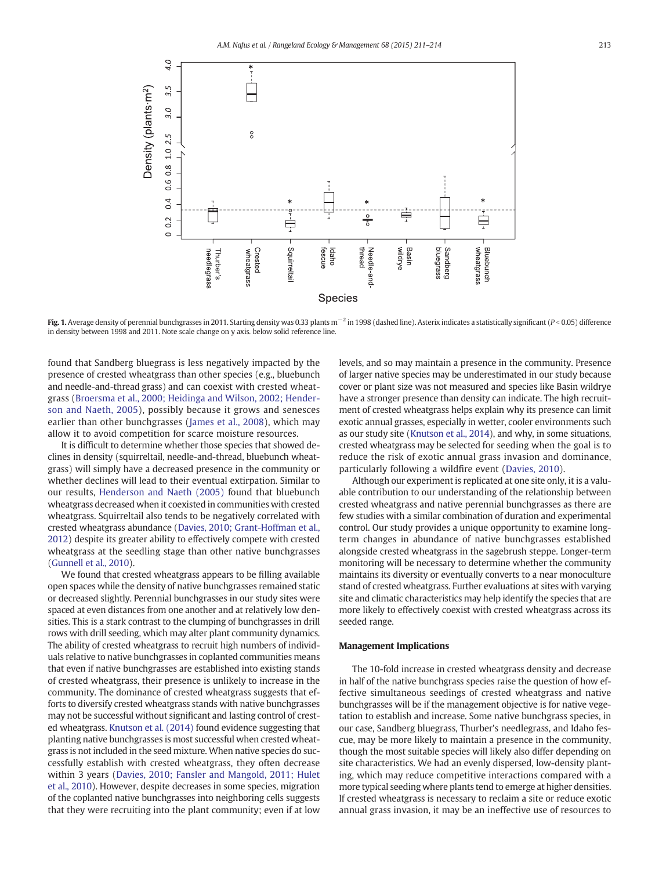<span id="page-3-0"></span>

Fig. 1. Average density of perennial bunchgrasses in 2011. Starting density was 0.33 plants m<sup>-2</sup> in 1998 (dashed line). Asterix indicates a statistically significant (P<0.05) difference in density between 1998 and 2011. Note scale change on y axis. below solid reference line.

found that Sandberg bluegrass is less negatively impacted by the presence of crested wheatgrass than other species (e.g., bluebunch and needle-and-thread grass) and can coexist with crested wheatgrass [\(Broersma et al., 2000; Heidinga and Wilson, 2002; Hender](#page-4-0)[son and Naeth, 2005](#page-4-0)), possibly because it grows and senesces earlier than other bunchgrasses [\(James et al., 2008\)](#page-4-0), which may allow it to avoid competition for scarce moisture resources.

It is difficult to determine whether those species that showed declines in density (squirreltail, needle-and-thread, bluebunch wheatgrass) will simply have a decreased presence in the community or whether declines will lead to their eventual extirpation. Similar to our results, [Henderson and Naeth \(2005\)](#page-4-0) found that bluebunch wheatgrass decreased when it coexisted in communities with crested wheatgrass. Squirreltail also tends to be negatively correlated with crested wheatgrass abundance [\(Davies, 2010; Grant-Hoffman et al.,](#page-4-0) [2012\)](#page-4-0) despite its greater ability to effectively compete with crested wheatgrass at the seedling stage than other native bunchgrasses [\(Gunnell et al., 2010\)](#page-4-0).

We found that crested wheatgrass appears to be filling available open spaces while the density of native bunchgrasses remained static or decreased slightly. Perennial bunchgrasses in our study sites were spaced at even distances from one another and at relatively low densities. This is a stark contrast to the clumping of bunchgrasses in drill rows with drill seeding, which may alter plant community dynamics. The ability of crested wheatgrass to recruit high numbers of individuals relative to native bunchgrasses in coplanted communities means that even if native bunchgrasses are established into existing stands of crested wheatgrass, their presence is unlikely to increase in the community. The dominance of crested wheatgrass suggests that efforts to diversify crested wheatgrass stands with native bunchgrasses may not be successful without significant and lasting control of crested wheatgrass. [Knutson et al. \(2014\)](#page-4-0) found evidence suggesting that planting native bunchgrasses is most successful when crested wheatgrass is not included in the seed mixture. When native species do successfully establish with crested wheatgrass, they often decrease within 3 years [\(Davies, 2010; Fansler and Mangold, 2011; Hulet](#page-4-0) [et al., 2010](#page-4-0)). However, despite decreases in some species, migration of the coplanted native bunchgrasses into neighboring cells suggests that they were recruiting into the plant community; even if at low

levels, and so may maintain a presence in the community. Presence of larger native species may be underestimated in our study because cover or plant size was not measured and species like Basin wildrye have a stronger presence than density can indicate. The high recruitment of crested wheatgrass helps explain why its presence can limit exotic annual grasses, especially in wetter, cooler environments such as our study site [\(Knutson et al., 2014](#page-4-0)), and why, in some situations, crested wheatgrass may be selected for seeding when the goal is to reduce the risk of exotic annual grass invasion and dominance, particularly following a wildfire event ([Davies, 2010](#page-4-0)).

Although our experiment is replicated at one site only, it is a valuable contribution to our understanding of the relationship between crested wheatgrass and native perennial bunchgrasses as there are few studies with a similar combination of duration and experimental control. Our study provides a unique opportunity to examine longterm changes in abundance of native bunchgrasses established alongside crested wheatgrass in the sagebrush steppe. Longer-term monitoring will be necessary to determine whether the community maintains its diversity or eventually converts to a near monoculture stand of crested wheatgrass. Further evaluations at sites with varying site and climatic characteristics may help identify the species that are more likely to effectively coexist with crested wheatgrass across its seeded range.

# Management Implications

The 10-fold increase in crested wheatgrass density and decrease in half of the native bunchgrass species raise the question of how effective simultaneous seedings of crested wheatgrass and native bunchgrasses will be if the management objective is for native vegetation to establish and increase. Some native bunchgrass species, in our case, Sandberg bluegrass, Thurber's needlegrass, and Idaho fescue, may be more likely to maintain a presence in the community, though the most suitable species will likely also differ depending on site characteristics. We had an evenly dispersed, low-density planting, which may reduce competitive interactions compared with a more typical seeding where plants tend to emerge at higher densities. If crested wheatgrass is necessary to reclaim a site or reduce exotic annual grass invasion, it may be an ineffective use of resources to